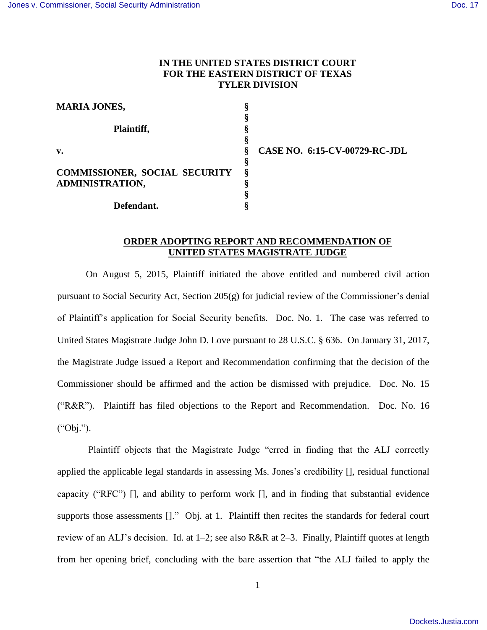## **IN THE UNITED STATES DISTRICT COURT FOR THE EASTERN DISTRICT OF TEXAS TYLER DIVISION**

| <b>MARIA JONES,</b>                  | O<br>↔ |                                      |
|--------------------------------------|--------|--------------------------------------|
|                                      | м      |                                      |
| Plaintiff,                           | O      |                                      |
|                                      | 8      |                                      |
| $\mathbf{v}$ .                       | ş      | <b>CASE NO. 6:15-CV-00729-RC-JDL</b> |
|                                      | \$     |                                      |
| <b>COMMISSIONER, SOCIAL SECURITY</b> | ş      |                                      |
| <b>ADMINISTRATION,</b>               |        |                                      |
|                                      |        |                                      |
| Defendant.                           |        |                                      |

## **ORDER ADOPTING REPORT AND RECOMMENDATION OF UNITED STATES MAGISTRATE JUDGE**

On August 5, 2015, Plaintiff initiated the above entitled and numbered civil action pursuant to Social Security Act, Section 205(g) for judicial review of the Commissioner's denial of Plaintiff's application for Social Security benefits. Doc. No. 1. The case was referred to United States Magistrate Judge John D. Love pursuant to 28 U.S.C. § 636. On January 31, 2017, the Magistrate Judge issued a Report and Recommendation confirming that the decision of the Commissioner should be affirmed and the action be dismissed with prejudice. Doc. No. 15 ("R&R"). Plaintiff has filed objections to the Report and Recommendation. Doc. No. 16 ("Obj.").

Plaintiff objects that the Magistrate Judge "erred in finding that the ALJ correctly applied the applicable legal standards in assessing Ms. Jones's credibility [], residual functional capacity ("RFC") [], and ability to perform work [], and in finding that substantial evidence supports those assessments []." Obj. at 1. Plaintiff then recites the standards for federal court review of an ALJ's decision. Id. at 1–2; see also R&R at 2–3. Finally, Plaintiff quotes at length from her opening brief, concluding with the bare assertion that "the ALJ failed to apply the